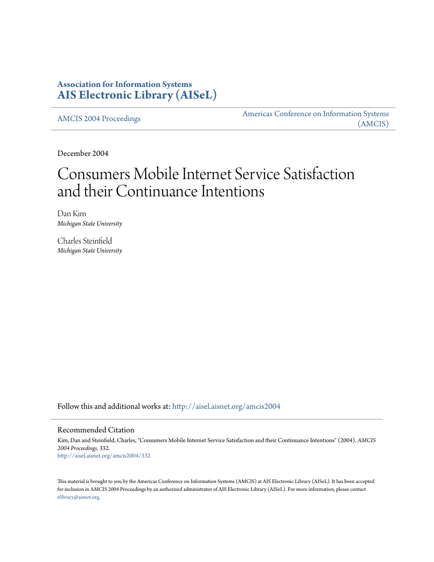# **Association for Information Systems [AIS Electronic Library \(AISeL\)](http://aisel.aisnet.org?utm_source=aisel.aisnet.org%2Famcis2004%2F332&utm_medium=PDF&utm_campaign=PDFCoverPages)**

[AMCIS 2004 Proceedings](http://aisel.aisnet.org/amcis2004?utm_source=aisel.aisnet.org%2Famcis2004%2F332&utm_medium=PDF&utm_campaign=PDFCoverPages)

[Americas Conference on Information Systems](http://aisel.aisnet.org/amcis?utm_source=aisel.aisnet.org%2Famcis2004%2F332&utm_medium=PDF&utm_campaign=PDFCoverPages) [\(AMCIS\)](http://aisel.aisnet.org/amcis?utm_source=aisel.aisnet.org%2Famcis2004%2F332&utm_medium=PDF&utm_campaign=PDFCoverPages)

December 2004

# Consumers Mobile Internet Service Satisfaction and their Continuance Intentions

Dan Kim *Michigan State University*

Charles Steinfield *Michigan State University*

Follow this and additional works at: [http://aisel.aisnet.org/amcis2004](http://aisel.aisnet.org/amcis2004?utm_source=aisel.aisnet.org%2Famcis2004%2F332&utm_medium=PDF&utm_campaign=PDFCoverPages)

# Recommended Citation

Kim, Dan and Steinfield, Charles, "Consumers Mobile Internet Service Satisfaction and their Continuance Intentions" (2004). *AMCIS 2004 Proceedings*. 332. [http://aisel.aisnet.org/amcis2004/332](http://aisel.aisnet.org/amcis2004/332?utm_source=aisel.aisnet.org%2Famcis2004%2F332&utm_medium=PDF&utm_campaign=PDFCoverPages)

This material is brought to you by the Americas Conference on Information Systems (AMCIS) at AIS Electronic Library (AISeL). It has been accepted for inclusion in AMCIS 2004 Proceedings by an authorized administrator of AIS Electronic Library (AISeL). For more information, please contact [elibrary@aisnet.org.](mailto:elibrary@aisnet.org%3E)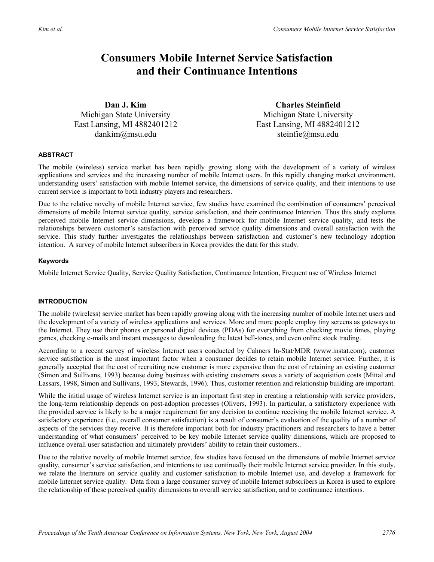# **Consumers Mobile Internet Service Satisfaction and their Continuance Intentions**

**Dan J. Kim**  Michigan State University East Lansing, MI 4882401212 dankim@msu.edu

**Charles Steinfield**  Michigan State University East Lansing, MI 4882401212 steinfie@msu.edu

## **ABSTRACT**

The mobile (wireless) service market has been rapidly growing along with the development of a variety of wireless applications and services and the increasing number of mobile Internet users. In this rapidly changing market environment, understanding users' satisfaction with mobile Internet service, the dimensions of service quality, and their intentions to use current service is important to both industry players and researchers.

Due to the relative novelty of mobile Internet service, few studies have examined the combination of consumers' perceived dimensions of mobile Internet service quality, service satisfaction, and their continuance Intention. Thus this study explores perceived mobile Internet service dimensions, develops a framework for mobile Internet service quality, and tests the relationships between customer's satisfaction with perceived service quality dimensions and overall satisfaction with the service. This study further investigates the relationships between satisfaction and customer's new technology adoption intention. A survey of mobile Internet subscribers in Korea provides the data for this study.

## **Keywords**

Mobile Internet Service Quality, Service Quality Satisfaction, Continuance Intention, Frequent use of Wireless Internet

# **INTRODUCTION**

The mobile (wireless) service market has been rapidly growing along with the increasing number of mobile Internet users and the development of a variety of wireless applications and services. More and more people employ tiny screens as gateways to the Internet. They use their phones or personal digital devices (PDAs) for everything from checking movie times, playing games, checking e-mails and instant messages to downloading the latest bell-tones, and even online stock trading.

According to a recent survey of wireless Internet users conducted by Cahners In-Stat/MDR (www.instat.com), customer service satisfaction is the most important factor when a consumer decides to retain mobile Internet service. Further, it is generally accepted that the cost of recruiting new customer is more expensive than the cost of retaining an existing customer (Simon and Sullivans, 1993) because doing business with existing customers saves a variety of acquisition costs (Mittal and Lassars, 1998, Simon and Sullivans, 1993, Stewards, 1996). Thus, customer retention and relationship building are important.

While the initial usage of wireless Internet service is an important first step in creating a relationship with service providers, the long-term relationship depends on post-adoption processes (Olivers, 1993). In particular, a satisfactory experience with the provided service is likely to be a major requirement for any decision to continue receiving the mobile Internet service. A satisfactory experience (i.e., overall consumer satisfaction) is a result of consumer's evaluation of the quality of a number of aspects of the services they receive. It is therefore important both for industry practitioners and researchers to have a better understanding of what consumers' perceived to be key mobile Internet service quality dimensions, which are proposed to influence overall user satisfaction and ultimately providers' ability to retain their customers..

Due to the relative novelty of mobile Internet service, few studies have focused on the dimensions of mobile Internet service quality, consumer's service satisfaction, and intentions to use continually their mobile Internet service provider. In this study, we relate the literature on service quality and customer satisfaction to mobile Internet use, and develop a framework for mobile Internet service quality. Data from a large consumer survey of mobile Internet subscribers in Korea is used to explore the relationship of these perceived quality dimensions to overall service satisfaction, and to continuance intentions.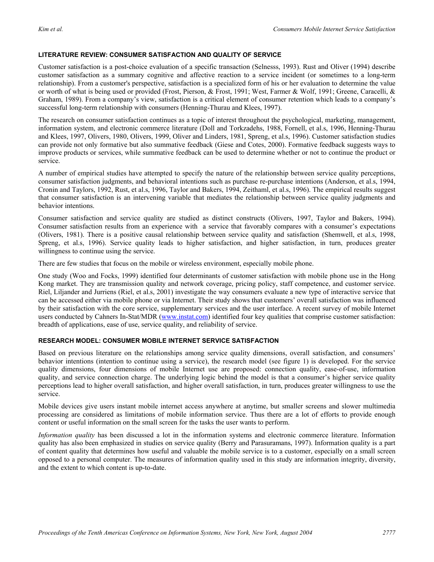# **LITERATURE REVIEW: CONSUMER SATISFACTION AND QUALITY OF SERVICE**

Customer satisfaction is a post-choice evaluation of a specific transaction (Selnesss, 1993). Rust and Oliver (1994) describe customer satisfaction as a summary cognitive and affective reaction to a service incident (or sometimes to a long-term relationship). From a customer's perspective, satisfaction is a specialized form of his or her evaluation to determine the value or worth of what is being used or provided (Frost, Pierson, & Frost, 1991; West, Farmer & Wolf, 1991; Greene, Caracelli, & Graham, 1989). From a company's view, satisfaction is a critical element of consumer retention which leads to a company's successful long-term relationship with consumers (Henning-Thurau and Klees, 1997).

The research on consumer satisfaction continues as a topic of interest throughout the psychological, marketing, management, information system, and electronic commerce literature (Doll and Torkzadehs, 1988, Fornell, et al.s, 1996, Henning-Thurau and Klees, 1997, Olivers, 1980, Olivers, 1999, Oliver and Linders, 1981, Spreng, et al.s, 1996). Customer satisfaction studies can provide not only formative but also summative feedback (Giese and Cotes, 2000). Formative feedback suggests ways to improve products or services, while summative feedback can be used to determine whether or not to continue the product or service.

A number of empirical studies have attempted to specify the nature of the relationship between service quality perceptions, consumer satisfaction judgments, and behavioral intentions such as purchase re-purchase intentions (Anderson, et al.s, 1994, Cronin and Taylors, 1992, Rust, et al.s, 1996, Taylor and Bakers, 1994, Zeithaml, et al.s, 1996). The empirical results suggest that consumer satisfaction is an intervening variable that mediates the relationship between service quality judgments and behavior intentions.

Consumer satisfaction and service quality are studied as distinct constructs (Olivers, 1997, Taylor and Bakers, 1994). Consumer satisfaction results from an experience with a service that favorably compares with a consumer's expectations (Olivers, 1981). There is a positive causal relationship between service quality and satisfaction (Shemwell, et al.s, 1998, Spreng, et al.s, 1996). Service quality leads to higher satisfaction, and higher satisfaction, in turn, produces greater willingness to continue using the service.

There are few studies that focus on the mobile or wireless environment, especially mobile phone.

One study (Woo and Focks, 1999) identified four determinants of customer satisfaction with mobile phone use in the Hong Kong market. They are transmission quality and network coverage, pricing policy, staff competence, and customer service. Riel, Liljander and Jurriens (Riel, et al.s, 2001) investigate the way consumers evaluate a new type of interactive service that can be accessed either via mobile phone or via Internet. Their study shows that customers' overall satisfaction was influenced by their satisfaction with the core service, supplementary services and the user interface. A recent survey of mobile Internet users conducted by Cahners In-Stat/MDR (www.instat.com) identified four key qualities that comprise customer satisfaction: breadth of applications, ease of use, service quality, and reliability of service.

# **RESEARCH MODEL: CONSUMER MOBILE INTERNET SERVICE SATISFACTION**

Based on previous literature on the relationships among service quality dimensions, overall satisfaction, and consumers' behavior intentions (intention to continue using a service), the research model (see figure 1) is developed. For the service quality dimensions, four dimensions of mobile Internet use are proposed: connection quality, ease-of-use, information quality, and service connection charge. The underlying logic behind the model is that a consumer's higher service quality perceptions lead to higher overall satisfaction, and higher overall satisfaction, in turn, produces greater willingness to use the service.

Mobile devices give users instant mobile internet access anywhere at anytime, but smaller screens and slower multimedia processing are considered as limitations of mobile information service. Thus there are a lot of efforts to provide enough content or useful information on the small screen for the tasks the user wants to perform.

*Information quality* has been discussed a lot in the information systems and electronic commerce literature. Information quality has also been emphasized in studies on service quality (Berry and Parasuramans, 1997). Information quality is a part of content quality that determines how useful and valuable the mobile service is to a customer, especially on a small screen opposed to a personal computer. The measures of information quality used in this study are information integrity, diversity, and the extent to which content is up-to-date.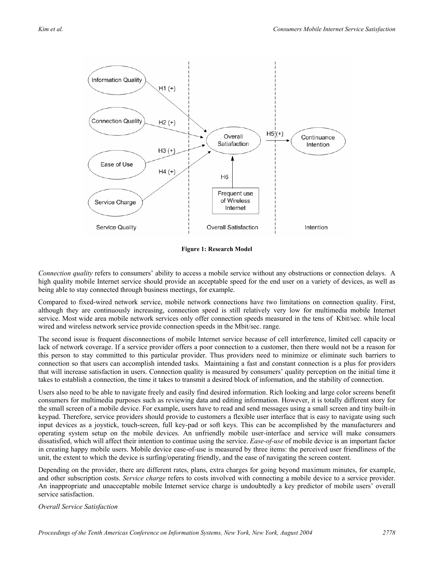

**Figure 1: Research Model** 

*Connection quality* refers to consumers' ability to access a mobile service without any obstructions or connection delays. A high quality mobile Internet service should provide an acceptable speed for the end user on a variety of devices, as well as being able to stay connected through business meetings, for example.

Compared to fixed-wired network service, mobile network connections have two limitations on connection quality. First, although they are continuously increasing, connection speed is still relatively very low for multimedia mobile Internet service. Most wide area mobile network services only offer connection speeds measured in the tens of Kbit/sec. while local wired and wireless network service provide connection speeds in the Mbit/sec. range.

The second issue is frequent disconnections of mobile Internet service because of cell interference, limited cell capacity or lack of network coverage. If a service provider offers a poor connection to a customer, then there would not be a reason for this person to stay committed to this particular provider. Thus providers need to minimize or eliminate such barriers to connection so that users can accomplish intended tasks. Maintaining a fast and constant connection is a plus for providers that will increase satisfaction in users. Connection quality is measured by consumers' quality perception on the initial time it takes to establish a connection, the time it takes to transmit a desired block of information, and the stability of connection.

Users also need to be able to navigate freely and easily find desired information. Rich looking and large color screens benefit consumers for multimedia purposes such as reviewing data and editing information. However, it is totally different story for the small screen of a mobile device. For example, users have to read and send messages using a small screen and tiny built-in keypad. Therefore, service providers should provide to customers a flexible user interface that is easy to navigate using such input devices as a joystick, touch-screen, full key-pad or soft keys. This can be accomplished by the manufacturers and operating system setup on the mobile devices. An unfriendly mobile user-interface and service will make consumers dissatisfied, which will affect their intention to continue using the service. *Ease-of-use* of mobile device is an important factor in creating happy mobile users. Mobile device ease-of-use is measured by three items: the perceived user friendliness of the unit, the extent to which the device is surfing/operating friendly, and the ease of navigating the screen content.

Depending on the provider, there are different rates, plans, extra charges for going beyond maximum minutes, for example, and other subscription costs. *Service charge* refers to costs involved with connecting a mobile device to a service provider. An inappropriate and unacceptable mobile Internet service charge is undoubtedly a key predictor of mobile users' overall service satisfaction.

*Overall Service Satisfaction*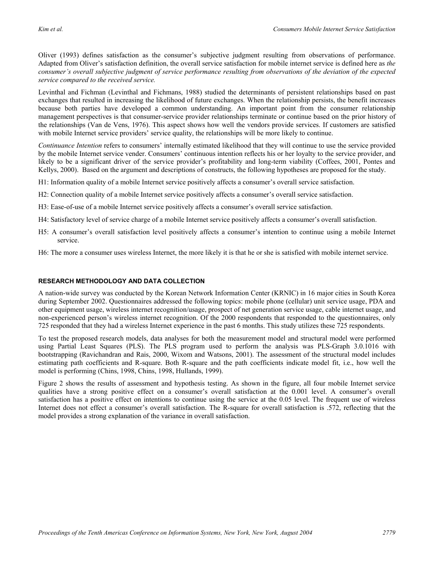Oliver (1993) defines satisfaction as the consumer's subjective judgment resulting from observations of performance. Adapted from Oliver's satisfaction definition, the overall service satisfaction for mobile internet service is defined here as *the consumer's overall subjective judgment of service performance resulting from observations of the deviation of the expected service compared to the received service.* 

Levinthal and Fichman (Levinthal and Fichmans, 1988) studied the determinants of persistent relationships based on past exchanges that resulted in increasing the likelihood of future exchanges. When the relationship persists, the benefit increases because both parties have developed a common understanding. An important point from the consumer relationship management perspectives is that consumer-service provider relationships terminate or continue based on the prior history of the relationships (Van de Vens, 1976). This aspect shows how well the vendors provide services. If customers are satisfied with mobile Internet service providers' service quality, the relationships will be more likely to continue.

*Continuance Intention* refers to consumers' internally estimated likelihood that they will continue to use the service provided by the mobile Internet service vender. Consumers' continuous intention reflects his or her loyalty to the service provider, and likely to be a significant driver of the service provider's profitability and long-term viability (Coffees, 2001, Pontes and Kellys, 2000). Based on the argument and descriptions of constructs, the following hypotheses are proposed for the study.

- H1: Information quality of a mobile Internet service positively affects a consumer's overall service satisfaction.
- H2: Connection quality of a mobile Internet service positively affects a consumer's overall service satisfaction.
- H3: Ease-of-use of a mobile Internet service positively affects a consumer's overall service satisfaction.
- H4: Satisfactory level of service charge of a mobile Internet service positively affects a consumer's overall satisfaction.
- H5: A consumer's overall satisfaction level positively affects a consumer's intention to continue using a mobile Internet service.
- H6: The more a consumer uses wireless Internet, the more likely it is that he or she is satisfied with mobile internet service.

# **ESEARCH METHODOLOGY AND DATA COLLECTION R**

A nation-wide survey was conducted by the Korean Network Information Center (KRNIC) in 16 major cities in South Korea during September 2002. Questionnaires addressed the following topics: mobile phone (cellular) unit service usage, PDA and other equipment usage, wireless internet recognition/usage, prospect of net generation service usage, cable internet usage, and non-experienced person's wireless internet recognition. Of the 2000 respondents that responded to the questionnaires, only 725 responded that they had a wireless Internet experience in the past 6 months. This study utilizes these 725 respondents.

To test the proposed research models, data analyses for both the measurement model and structural model were performed using Partial Least Squares (PLS). The PLS program used to perform the analysis was PLS-Graph 3.0.1016 with bootstrapping (Ravichandran and Rais, 2000, Wixom and Watsons, 2001). The assessment of the structural model includes estimating path coefficients and R-square. Both R-square and the path coefficients indicate model fit, i.e., how well the model is performing (Chins, 1998, Chins, 1998, Hullands, 1999).

Figure 2 shows the results of assessment and hypothesis testing. As shown in the figure, all four mobile Internet service qualities have a strong positive effect on a consumer's overall satisfaction at the 0.001 level. A consumer's overall satisfaction has a positive effect on intentions to continue using the service at the 0.05 level. The frequent use of wireless Internet does not effect a consumer's overall satisfaction. The R-square for overall satisfaction is .572, reflecting that the model provides a strong explanation of the variance in overall satisfaction.